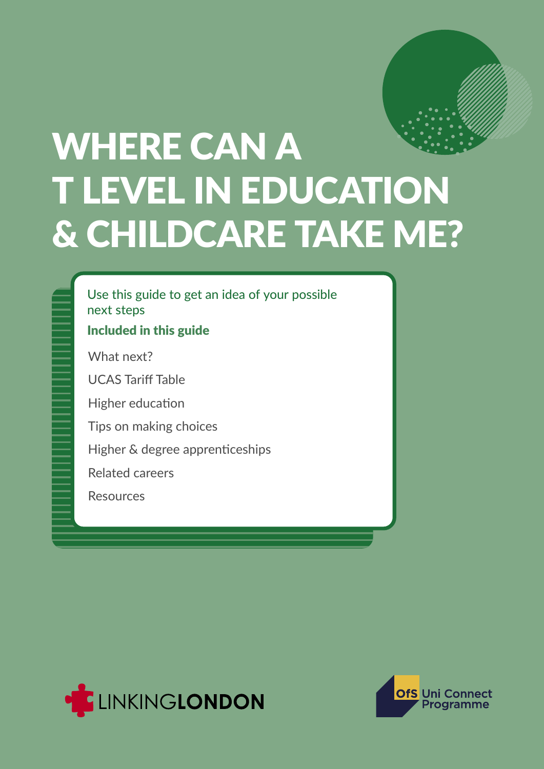

# WHERE CAN A T LEVEL IN EDUCATION & CHILDCARE TAKE ME?

Use this guide to get an idea of your possible next steps

#### Included in this guide

What next?

UCAS Tariff Table

Higher education

Tips on making choices

Higher & degree apprenticeships

Related careers

**Resources** 



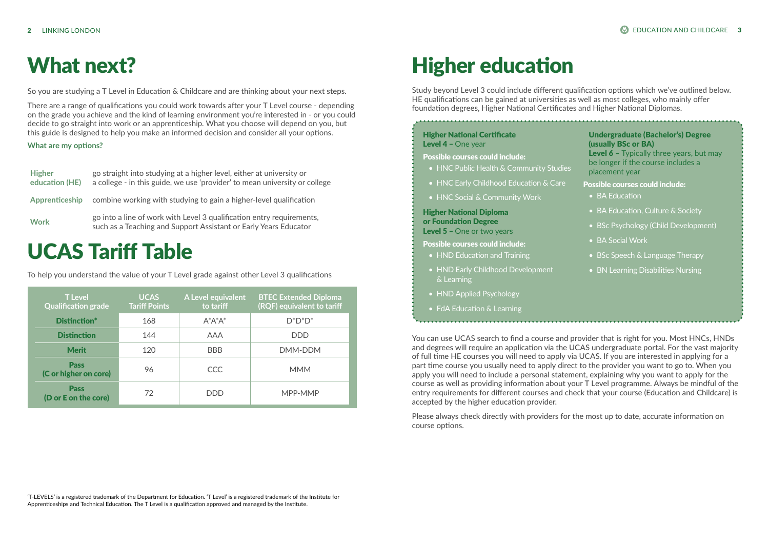So you are studying a T Level in Education & Childcare and are thinking about your next steps.

There are a range of qualifications you could work towards after your T Level course - depending on the grade you achieve and the kind of learning environment you're interested in - or you could decide to go straight into work or an apprenticeship. What you choose will depend on you, but this guide is designed to help you make an informed decision and consider all your options.

#### Higher National Certificate Level 4 - One year

#### **What are my options?**

## What next?

- HNC Public Health & Community Studies
- HNC Early Childhood Education & Care
- HNC Social & Community Work

#### Higher National Diploma or Foundation Degree Level 5 - One or two years

- HND Education and Training
- HND Early Childhood Development & Learning
- HND Applied Psychology
- FdA Education & Learning

| <b>Higher</b><br>education (HE) | go straight into studying at a higher level, either at university or<br>a college - in this guide, we use 'provider' to mean university or college |
|---------------------------------|----------------------------------------------------------------------------------------------------------------------------------------------------|
| Apprenticeship                  | combine working with studying to gain a higher-level qualification                                                                                 |
| <b>Work</b>                     | go into a line of work with Level 3 qualification entry requirements,<br>such as a Teaching and Support Assistant or Early Years Educator          |

#### Possible courses could include:

#### Possible courses could include:

You can use UCAS search to find a course and provider that is right for you. Most HNCs, HNDs and degrees will require an application via the UCAS undergraduate portal. For the vast majority of full time HE courses you will need to apply via UCAS. If you are interested in applying for a part time course you usually need to apply direct to the provider you want to go to. When you apply you will need to include a personal statement, explaining why you want to apply for the course as well as providing information about your T Level programme. Always be mindful of the entry requirements for different courses and check that your course (Education and Childcare) is accepted by the higher education provider.

Please always check directly with providers for the most up to date, accurate information on course options.

## Higher education

Study beyond Level 3 could include different qualification options which we've outlined below. HE qualifications can be gained at universities as well as most colleges, who mainly offer foundation degrees, Higher National Certificates and Higher National Diplomas.

| <b>T</b> Level<br><b>Qualification grade</b> | <b>UCAS</b><br><b>Tariff Points</b> | A Level equivalent<br>to tariff | <b>BTEC Extended Diploma</b><br>(RQF) equivalent to tariff |
|----------------------------------------------|-------------------------------------|---------------------------------|------------------------------------------------------------|
| Distinction*                                 | 168                                 | $A^*A^*A^*$                     | $D^*D^*D^*$                                                |
| <b>Distinction</b>                           | 144                                 | <b>AAA</b>                      | <b>DDD</b>                                                 |
| <b>Merit</b>                                 | 120                                 | <b>BBB</b>                      | DMM-DDM                                                    |
| <b>Pass</b><br>(C or higher on core)         | 96                                  | <b>CCC</b>                      | <b>MMM</b>                                                 |
| <b>Pass</b><br>(D or E on the core)          | 72                                  | <b>DDD</b>                      | MPP-MMP                                                    |

### UCAS Tariff Table

To help you understand the value of your T Level grade against other Level 3 qualifications

'T-LEVELS' is a registered trademark of the Department for Education. 'T Level' is a registered trademark of the Institute for Apprenticeships and Technical Education. The T Level is a qualification approved and managed by the Institute.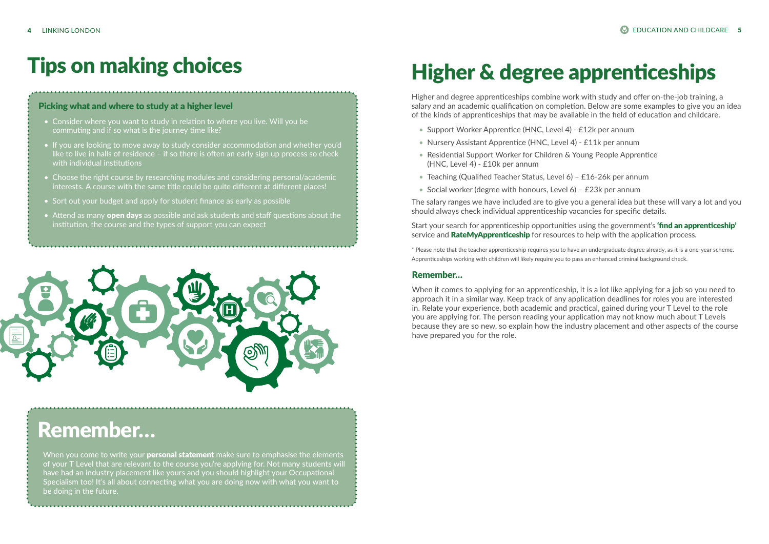#### Picking what and where to study at a higher level

- Consider where you want to study in relation to where you live. Will you be commuting and if so what is the journey time like?
- If you are looking to move away to study consider accommodation and whether you'd like to live in halls of residence – if so there is often an early sign up process so check with individual institutions
- Choose the right course by researching modules and considering personal/academic interests. A course with the same title could be quite different at different places!
- Sort out your budget and apply for student finance as early as possible
- Attend as many **[open days](https://www.whatuni.com/open-days/)** as possible and ask students and staff questions about the institution, the course and the types of support you can expect



When you come to write your **personal statement** make sure to emphasise the elements of your T Level that are relevant to the course you're applying for. Not many students will have had an industry placement like yours and you should highlight your Occupational Specialism too! It's all about connecting what you are doing now with what you want to be doing in the future.

### Tips on making choices

### Remember…

## Higher & degree apprenticeships

Higher and degree apprenticeships combine work with study and offer on-the-job training, a salary and an academic qualification on completion. Below are some examples to give you an idea of the kinds of apprenticeships that may be available in the field of education and childcare.

- Support Worker Apprentice (HNC, Level 4) £12k per annum
- Nursery Assistant Apprentice (HNC, Level 4) £11k per annum
- Residential Support Worker for Children & Young People Apprentice (HNC, Level 4) - £10k per annum
- Teaching (Qualified Teacher Status, Level 6) £16-26k per annum
- Social worker (degree with honours, Level 6) £23k per annum

The salary ranges we have included are to give you a general idea but these will vary a lot and you should always check individual apprenticeship vacancies for specific details.

Start your search for apprenticeship opportunities using the government's **'find an apprenticeship'** service and **RateMyApprenticeship** for resources to help with the application process.

\* Please note that the teacher apprenticeship requires you to have an undergraduate degree already, as it is a one-year scheme. Apprenticeships working with children will likely require you to pass an enhanced criminal background check.

#### Remember…

When it comes to applying for an apprenticeship, it is a lot like applying for a job so you need to approach it in a similar way. Keep track of any application deadlines for roles you are interested in. Relate your experience, both academic and practical, gained during your T Level to the role you are applying for. The person reading your application may not know much about T Levels because they are so new, so explain how the industry placement and other aspects of the course have prepared you for the role.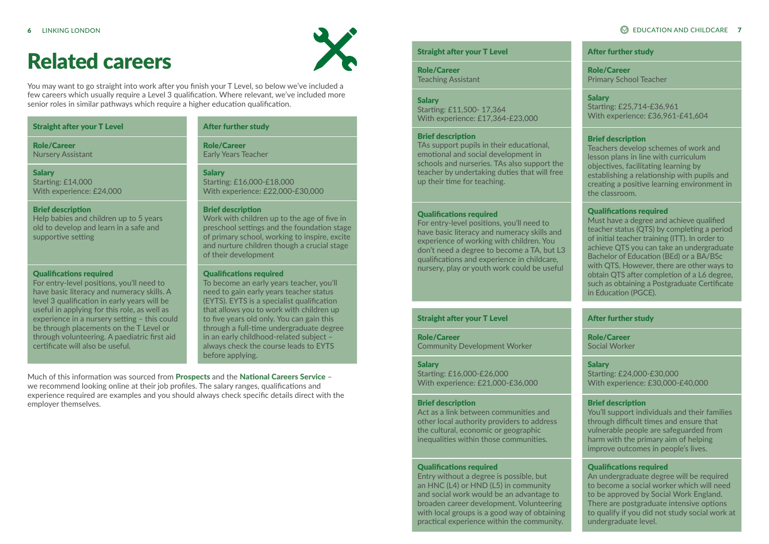#### Straight after your T Level

**Salary** Starting: £14,000 With experience: £24,000

Role/Career Nursery Assistant

#### Brief description

Help babies and children up to 5 years old to develop and learn in a safe and supportive setting

#### Qualifications required

For entry-level positions, you'll need to have basic literacy and numeracy skills. A level 3 qualification in early years will be useful in applying for this role, as well as experience in a nursery setting – this could be through placements on the T Level or through volunteering. A paediatric first aid certificate will also be useful.

### Related careers



You may want to go straight into work after you finish your T Level, so below we've included a few careers which usually require a Level 3 qualification. Where relevant, we've included more senior roles in similar pathways which require a higher education qualification.

#### After further study

Role/Career Early Years Teacher

#### Salary

Starting: £16,000-£18,000 With experience: £22,000-£30,000

#### Brief description

Work with children up to the age of five in preschool settings and the foundation stage of primary school, working to inspire, excite and nurture children though a crucial stage of their development

**Salary** Starting: £25,714-£36,961 With experience: £36,961-£41,604

#### Qualifications required

To become an early years teacher, you'll need to gain early years teacher status (EYTS). EYTS is a specialist qualification that allows you to work with children up to five years old only. You can gain this through a full-time undergraduate degree in an early childhood-related subject – always check the course leads to EYTS before applying.

#### Straight after your T Level

Role/Career Teaching Assistant

#### **Salary**

Starting: £11,500- 17,364 With experience: £17,364-£23,000

#### Brief description

TAs support pupils in their educational, emotional and social development in schools and nurseries. TAs also support the teacher by undertaking duties that will free up their time for teaching.

#### Qualifications required

For entry-level positions, you'll need to have basic literacy and numeracy skills and experience of working with children. You don't need a degree to become a TA, but L3 qualifications and experience in childcare, nursery, play or youth work could be useful

Much of this information was sourced from [Prospects](https://www.prospects.ac.uk/job-profiles) and the [National Careers Service](https://nationalcareers.service.gov.uk/explore-careers) we recommend looking online at their job profiles. The salary ranges, qualifications and experience required are examples and you should always check specific details direct with the employer themselves.

#### After further study

Role/Career Primary School Teacher

#### Brief description

Teachers develop schemes of work and lesson plans in line with curriculum objectives, facilitating learning by establishing a relationship with pupils and creating a positive learning environment in the classroom.

#### Qualifications required

Must have a degree and achieve qualified teacher status (QTS) by completing a period of initial teacher training (ITT). In order to achieve QTS you can take an undergraduate Bachelor of Education (BEd) or a BA/BSc with QTS. However, there are other ways to obtain QTS after completion of a L6 degree, such as obtaining a Postgraduate Certificate in Education (PGCE).

#### Straight after your T Level

Role/Career Community Development Worker

#### **Salary**

Starting: £16,000-£26,000 With experience: £21,000-£36,000

#### Brief description

Act as a link between communities and other local authority providers to address the cultural, economic or geographic inequalities within those communities.

#### Qualifications required

Entry without a degree is possible, but an HNC (L4) or HND (L5) in community and social work would be an advantage to broaden career development. Volunteering with local groups is a good way of obtaining practical experience within the community.

#### After further study

Role/Career Social Worker

#### **Salary**

Starting: £24,000-£30,000 With experience: £30,000-£40,000

#### Brief description

You'll support individuals and their families through difficult times and ensure that vulnerable people are safeguarded from harm with the primary aim of helping improve outcomes in people's lives.

#### Qualifications required

An undergraduate degree will be required to become a social worker which will need to be approved by Social Work England. There are postgraduate intensive options to qualify if you did not study social work at undergraduate level.